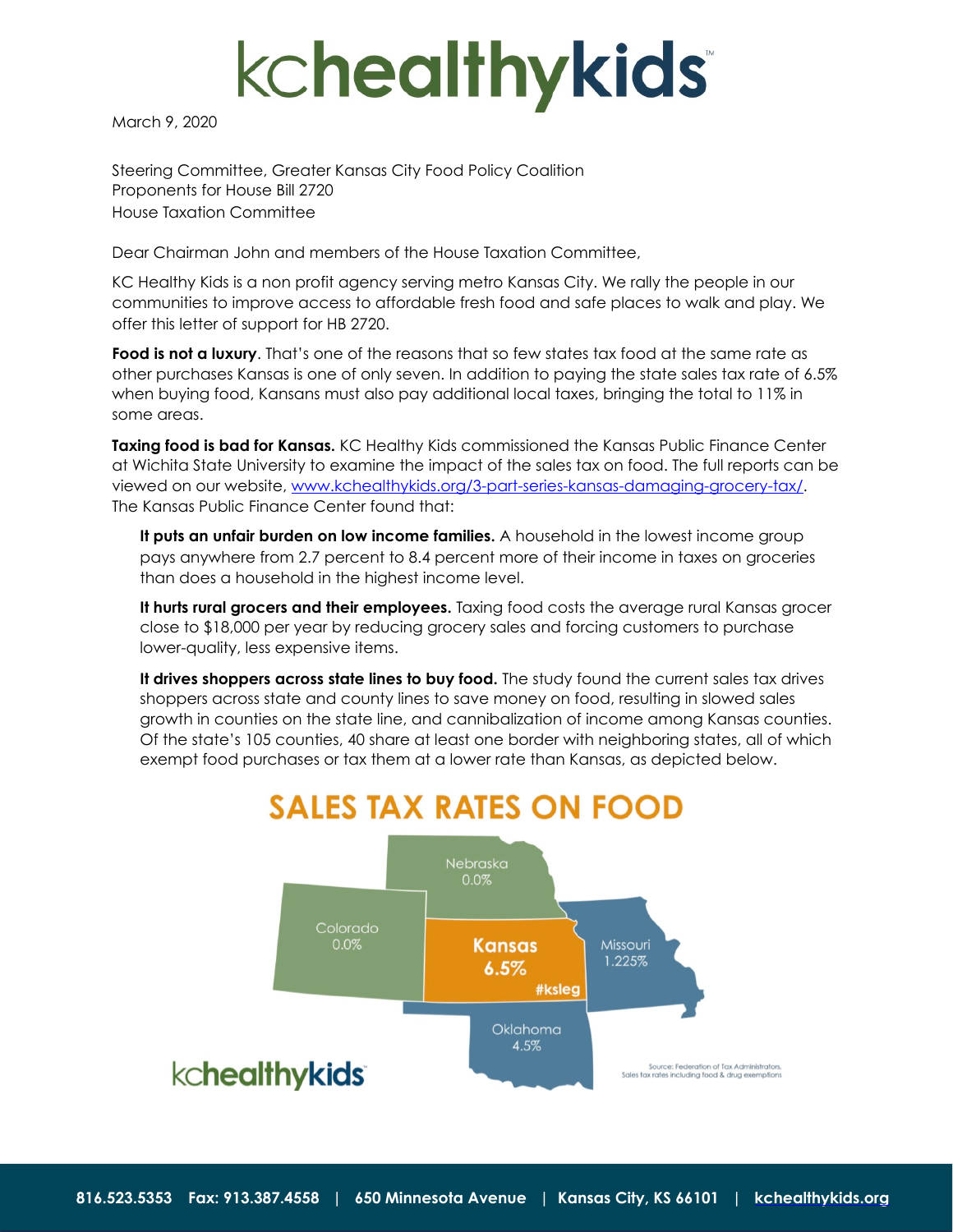

March 9, 2020

Steering Committee, Greater Kansas City Food Policy Coalition Proponents for House Bill 2720 House Taxation Committee

Dear Chairman John and members of the House Taxation Committee,

KC Healthy Kids is a non profit agency serving metro Kansas City. We rally the people in our communities to improve access to affordable fresh food and safe places to walk and play. We offer this letter of support for HB 2720.

**Food is not a luxury**. That's one of the reasons that so few states tax food at the same rate as other purchases Kansas is one of only seven. In addition to paying the state sales tax rate of 6.5% when buying food, Kansans must also pay additional local taxes, bringing the total to 11% in some areas.

**Taxing food is bad for Kansas.** KC Healthy Kids commissioned the Kansas Public Finance Center at Wichita State University to examine the impact of the sales tax on food. The full reports can be viewed on our website, [www.kchealthykids.org/3-part-series-kansas-damaging-grocery-tax/](http://www.kchealthykids.org/3-part-series-kansas-damaging-grocery-tax/). The Kansas Public Finance Center found that:

**It puts an unfair burden on low income families.** A household in the lowest income group pays anywhere from 2.7 percent to 8.4 percent more of their income in taxes on groceries than does a household in the highest income level.

**It hurts rural grocers and their employees.** Taxing food costs the average rural Kansas grocer close to \$18,000 per year by reducing grocery sales and forcing customers to purchase lower-quality, less expensive items.

**It drives shoppers across state lines to buy food.** The study found the current sales tax drives shoppers across state and county lines to save money on food, resulting in slowed sales growth in counties on the state line, and cannibalization of income among Kansas counties. Of the state's 105 counties, 40 share at least one border with neighboring states, all of which exempt food purchases or tax them at a lower rate than Kansas, as depicted below.

## **SALES TAX RATES ON FOOD**